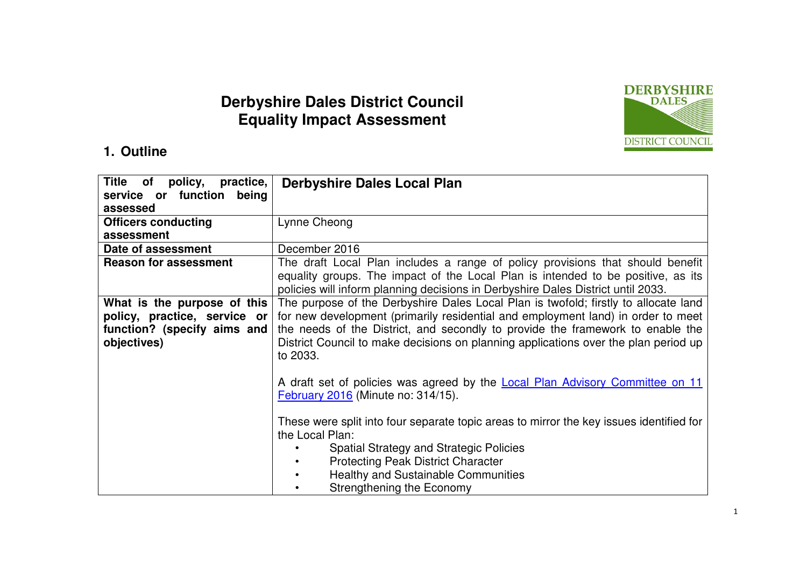# **Derbyshire Dales District Council Equality Impact Assessment**



#### **1. Outline**

| <b>Title</b><br>of policy, practice,<br>service or function being | <b>Derbyshire Dales Local Plan</b>                                                                                                                                   |  |  |  |  |
|-------------------------------------------------------------------|----------------------------------------------------------------------------------------------------------------------------------------------------------------------|--|--|--|--|
| assessed                                                          |                                                                                                                                                                      |  |  |  |  |
| <b>Officers conducting</b>                                        | Lynne Cheong                                                                                                                                                         |  |  |  |  |
| assessment                                                        |                                                                                                                                                                      |  |  |  |  |
| Date of assessment                                                | December 2016                                                                                                                                                        |  |  |  |  |
| <b>Reason for assessment</b>                                      | The draft Local Plan includes a range of policy provisions that should benefit                                                                                       |  |  |  |  |
|                                                                   | equality groups. The impact of the Local Plan is intended to be positive, as its<br>policies will inform planning decisions in Derbyshire Dales District until 2033. |  |  |  |  |
|                                                                   | The purpose of the Derbyshire Dales Local Plan is twofold; firstly to allocate land                                                                                  |  |  |  |  |
| What is the purpose of this                                       |                                                                                                                                                                      |  |  |  |  |
| policy, practice, service or                                      | for new development (primarily residential and employment land) in order to meet                                                                                     |  |  |  |  |
| function? (specify aims and                                       | the needs of the District, and secondly to provide the framework to enable the                                                                                       |  |  |  |  |
| objectives)                                                       | District Council to make decisions on planning applications over the plan period up<br>to 2033.                                                                      |  |  |  |  |
|                                                                   |                                                                                                                                                                      |  |  |  |  |
|                                                                   | A draft set of policies was agreed by the <b>Local Plan Advisory Committee on 11</b>                                                                                 |  |  |  |  |
|                                                                   | <b>February 2016 (Minute no: 314/15).</b>                                                                                                                            |  |  |  |  |
|                                                                   |                                                                                                                                                                      |  |  |  |  |
|                                                                   | These were split into four separate topic areas to mirror the key issues identified for                                                                              |  |  |  |  |
|                                                                   | the Local Plan:                                                                                                                                                      |  |  |  |  |
|                                                                   | <b>Spatial Strategy and Strategic Policies</b>                                                                                                                       |  |  |  |  |
|                                                                   | <b>Protecting Peak District Character</b>                                                                                                                            |  |  |  |  |
|                                                                   | <b>Healthy and Sustainable Communities</b>                                                                                                                           |  |  |  |  |
|                                                                   | Strengthening the Economy                                                                                                                                            |  |  |  |  |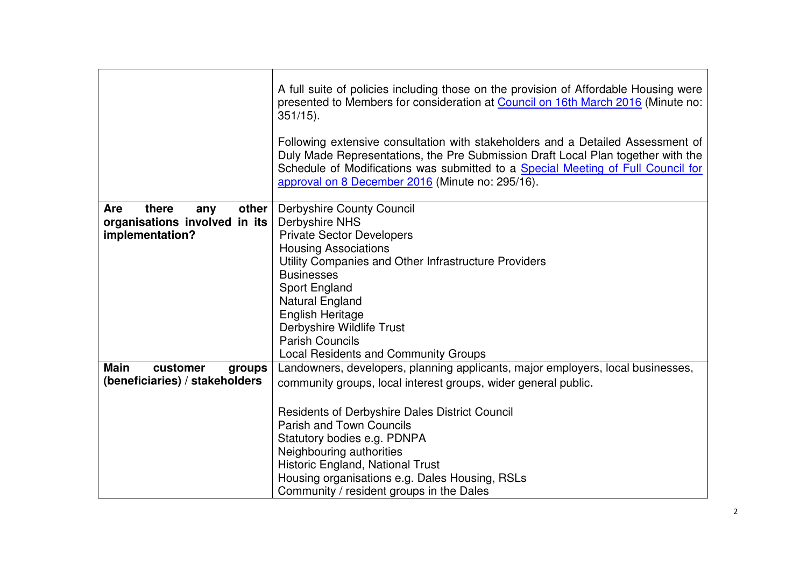|                                     | A full suite of policies including those on the provision of Affordable Housing were<br>presented to Members for consideration at Council on 16th March 2016 (Minute no:<br>$351/15$ ).                                                                                                                     |  |  |  |  |  |
|-------------------------------------|-------------------------------------------------------------------------------------------------------------------------------------------------------------------------------------------------------------------------------------------------------------------------------------------------------------|--|--|--|--|--|
|                                     | Following extensive consultation with stakeholders and a Detailed Assessment of<br>Duly Made Representations, the Pre Submission Draft Local Plan together with the<br>Schedule of Modifications was submitted to a Special Meeting of Full Council for<br>approval on 8 December 2016 (Minute no: 295/16). |  |  |  |  |  |
| there<br>other<br><b>Are</b><br>any | <b>Derbyshire County Council</b>                                                                                                                                                                                                                                                                            |  |  |  |  |  |
| organisations involved in its       | <b>Derbyshire NHS</b>                                                                                                                                                                                                                                                                                       |  |  |  |  |  |
| implementation?                     | <b>Private Sector Developers</b>                                                                                                                                                                                                                                                                            |  |  |  |  |  |
|                                     | <b>Housing Associations</b>                                                                                                                                                                                                                                                                                 |  |  |  |  |  |
|                                     | Utility Companies and Other Infrastructure Providers                                                                                                                                                                                                                                                        |  |  |  |  |  |
|                                     | <b>Businesses</b>                                                                                                                                                                                                                                                                                           |  |  |  |  |  |
|                                     | Sport England                                                                                                                                                                                                                                                                                               |  |  |  |  |  |
|                                     | Natural England                                                                                                                                                                                                                                                                                             |  |  |  |  |  |
|                                     | English Heritage                                                                                                                                                                                                                                                                                            |  |  |  |  |  |
|                                     | Derbyshire Wildlife Trust                                                                                                                                                                                                                                                                                   |  |  |  |  |  |
|                                     | <b>Parish Councils</b>                                                                                                                                                                                                                                                                                      |  |  |  |  |  |
|                                     | <b>Local Residents and Community Groups</b>                                                                                                                                                                                                                                                                 |  |  |  |  |  |
| <b>Main</b><br>customer<br>groups   | Landowners, developers, planning applicants, major employers, local businesses,                                                                                                                                                                                                                             |  |  |  |  |  |
| (beneficiaries) / stakeholders      | community groups, local interest groups, wider general public.                                                                                                                                                                                                                                              |  |  |  |  |  |
|                                     |                                                                                                                                                                                                                                                                                                             |  |  |  |  |  |
|                                     | <b>Residents of Derbyshire Dales District Council</b>                                                                                                                                                                                                                                                       |  |  |  |  |  |
|                                     | <b>Parish and Town Councils</b>                                                                                                                                                                                                                                                                             |  |  |  |  |  |
|                                     | Statutory bodies e.g. PDNPA                                                                                                                                                                                                                                                                                 |  |  |  |  |  |
|                                     | Neighbouring authorities                                                                                                                                                                                                                                                                                    |  |  |  |  |  |
|                                     | Historic England, National Trust                                                                                                                                                                                                                                                                            |  |  |  |  |  |
|                                     | Housing organisations e.g. Dales Housing, RSLs                                                                                                                                                                                                                                                              |  |  |  |  |  |
|                                     | Community / resident groups in the Dales                                                                                                                                                                                                                                                                    |  |  |  |  |  |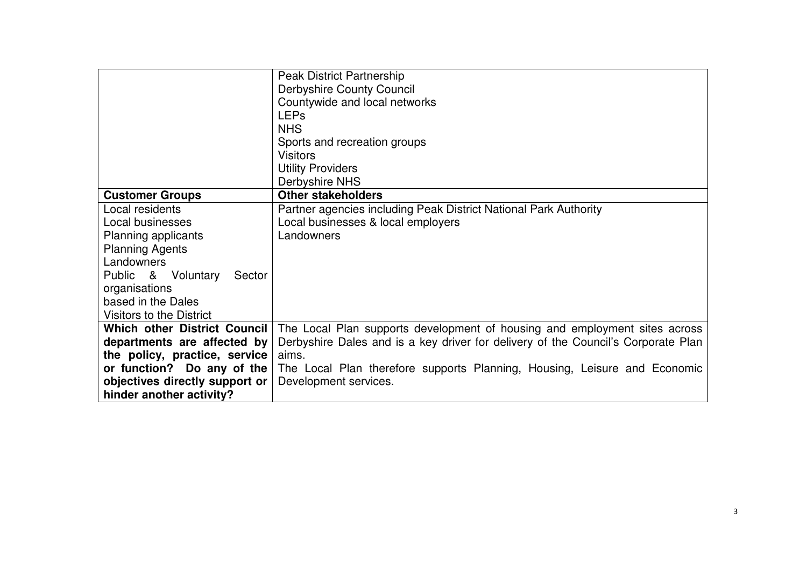|                                | <b>Peak District Partnership</b>                                                  |
|--------------------------------|-----------------------------------------------------------------------------------|
|                                | <b>Derbyshire County Council</b>                                                  |
|                                | Countywide and local networks                                                     |
|                                | <b>LEPs</b>                                                                       |
|                                | <b>NHS</b>                                                                        |
|                                | Sports and recreation groups                                                      |
|                                | <b>Visitors</b>                                                                   |
|                                | <b>Utility Providers</b>                                                          |
|                                | Derbyshire NHS                                                                    |
| <b>Customer Groups</b>         | <b>Other stakeholders</b>                                                         |
| Local residents                | Partner agencies including Peak District National Park Authority                  |
| Local businesses               | Local businesses & local employers                                                |
| Planning applicants            | Landowners                                                                        |
| <b>Planning Agents</b>         |                                                                                   |
| Landowners                     |                                                                                   |
| Public & Voluntary<br>Sector   |                                                                                   |
| organisations                  |                                                                                   |
| based in the Dales             |                                                                                   |
| Visitors to the District       |                                                                                   |
| Which other District Council   | The Local Plan supports development of housing and employment sites across        |
| departments are affected by    | Derbyshire Dales and is a key driver for delivery of the Council's Corporate Plan |
| the policy, practice, service  | aims.                                                                             |
| or function? Do any of the     | The Local Plan therefore supports Planning, Housing, Leisure and Economic         |
| objectives directly support or | Development services.                                                             |
| hinder another activity?       |                                                                                   |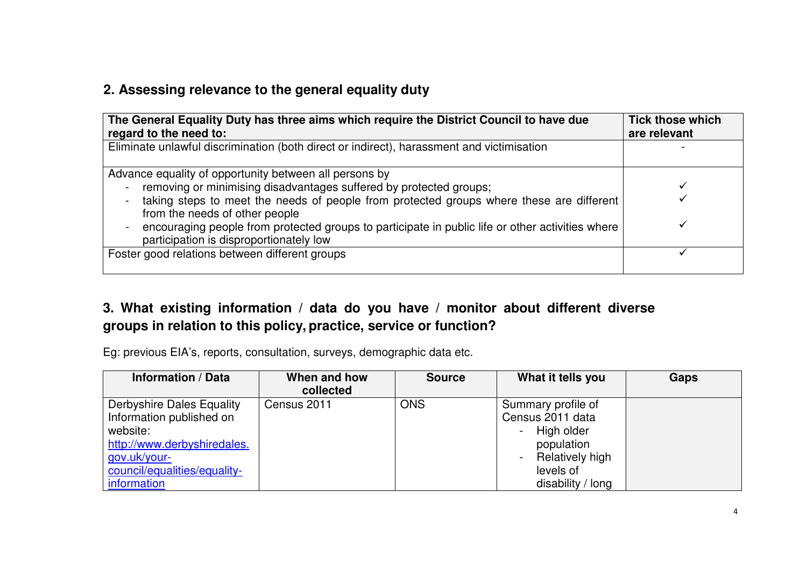## **2. Assessing relevance to the general equality duty**

| The General Equality Duty has three aims which require the District Council to have due<br>regard to the need to:                           | <b>Tick those which</b><br>are relevant |
|---------------------------------------------------------------------------------------------------------------------------------------------|-----------------------------------------|
| Eliminate unlawful discrimination (both direct or indirect), harassment and victimisation                                                   |                                         |
| Advance equality of opportunity between all persons by<br>removing or minimising disadvantages suffered by protected groups;                |                                         |
| taking steps to meet the needs of people from protected groups where these are different<br>from the needs of other people                  |                                         |
| encouraging people from protected groups to participate in public life or other activities where<br>participation is disproportionately low |                                         |
| Foster good relations between different groups                                                                                              |                                         |

## **3. What existing information / data do you have / monitor about different diverse groups in relation to this policy, practice, service or function?**

Eg: previous EIA's, reports, consultation, surveys, demographic data etc.

| <b>Information / Data</b>    | When and how | <b>Source</b> | What it tells you  | Gaps |
|------------------------------|--------------|---------------|--------------------|------|
|                              | collected    |               |                    |      |
| Derbyshire Dales Equality    | Census 2011  | <b>ONS</b>    | Summary profile of |      |
| Information published on     |              |               | Census 2011 data   |      |
| website:                     |              |               | High older         |      |
| http://www.derbyshiredales.  |              |               | population         |      |
| gov.uk/your-                 |              |               | Relatively high    |      |
| council/equalities/equality- |              |               | levels of          |      |
| information                  |              |               | disability / long  |      |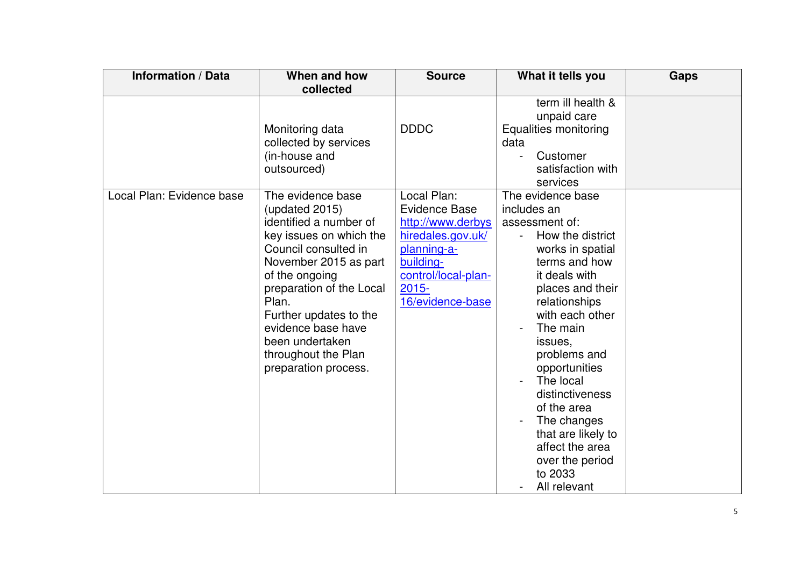| <b>Information / Data</b> | When and how<br>collected                                                                                                                                                                                                                                                                                          | <b>Source</b>                                                                                                                                                    | What it tells you                                                                                                                                                                                                                                                                                                                                                                                                   | <b>Gaps</b> |
|---------------------------|--------------------------------------------------------------------------------------------------------------------------------------------------------------------------------------------------------------------------------------------------------------------------------------------------------------------|------------------------------------------------------------------------------------------------------------------------------------------------------------------|---------------------------------------------------------------------------------------------------------------------------------------------------------------------------------------------------------------------------------------------------------------------------------------------------------------------------------------------------------------------------------------------------------------------|-------------|
|                           | Monitoring data<br>collected by services<br>(in-house and<br>outsourced)                                                                                                                                                                                                                                           | <b>DDDC</b>                                                                                                                                                      | term ill health &<br>unpaid care<br>Equalities monitoring<br>data<br>Customer<br>satisfaction with<br>services                                                                                                                                                                                                                                                                                                      |             |
| Local Plan: Evidence base | The evidence base<br>(updated 2015)<br>identified a number of<br>key issues on which the<br>Council consulted in<br>November 2015 as part<br>of the ongoing<br>preparation of the Local<br>Plan.<br>Further updates to the<br>evidence base have<br>been undertaken<br>throughout the Plan<br>preparation process. | Local Plan:<br><b>Evidence Base</b><br>http://www.derbys<br>hiredales.gov.uk/<br>planning-a-<br>building-<br>control/local-plan-<br>$2015 -$<br>16/evidence-base | The evidence base<br>includes an<br>assessment of:<br>How the district<br>$\blacksquare$<br>works in spatial<br>terms and how<br>it deals with<br>places and their<br>relationships<br>with each other<br>The main<br>issues,<br>problems and<br>opportunities<br>The local<br>distinctiveness<br>of the area<br>The changes<br>that are likely to<br>affect the area<br>over the period<br>to 2033<br>All relevant |             |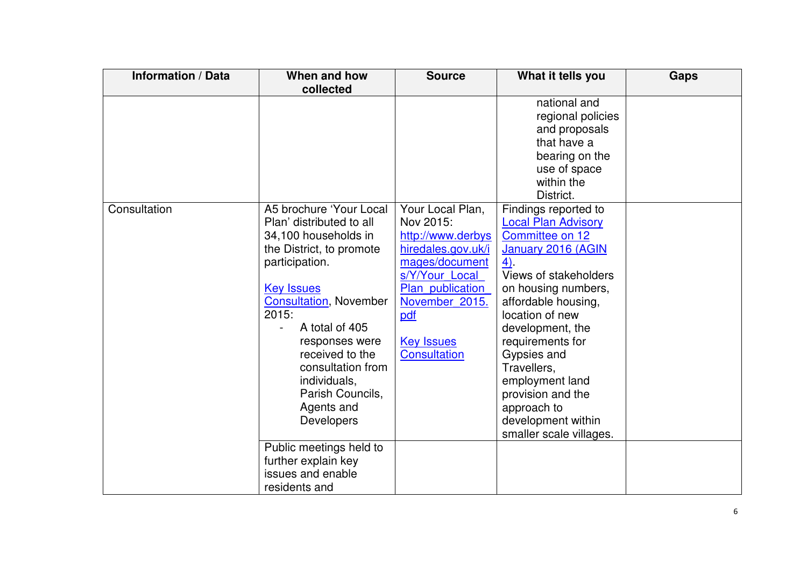| <b>Information / Data</b> | When and how                                                                                                                                                                                                                                                                                                                                                                                                                        | <b>Source</b>                                                                                                                                                                                         | What it tells you                                                                                                                                                                                                                                                                                                                                                                          | <b>Gaps</b> |
|---------------------------|-------------------------------------------------------------------------------------------------------------------------------------------------------------------------------------------------------------------------------------------------------------------------------------------------------------------------------------------------------------------------------------------------------------------------------------|-------------------------------------------------------------------------------------------------------------------------------------------------------------------------------------------------------|--------------------------------------------------------------------------------------------------------------------------------------------------------------------------------------------------------------------------------------------------------------------------------------------------------------------------------------------------------------------------------------------|-------------|
|                           | collected                                                                                                                                                                                                                                                                                                                                                                                                                           |                                                                                                                                                                                                       |                                                                                                                                                                                                                                                                                                                                                                                            |             |
|                           |                                                                                                                                                                                                                                                                                                                                                                                                                                     |                                                                                                                                                                                                       | national and<br>regional policies<br>and proposals<br>that have a<br>bearing on the<br>use of space<br>within the                                                                                                                                                                                                                                                                          |             |
| Consultation              | A5 brochure 'Your Local<br>Plan' distributed to all<br>34,100 households in<br>the District, to promote<br>participation.<br><b>Key Issues</b><br><b>Consultation, November</b><br>2015:<br>A total of 405<br>responses were<br>received to the<br>consultation from<br>individuals,<br>Parish Councils,<br>Agents and<br><b>Developers</b><br>Public meetings held to<br>further explain key<br>issues and enable<br>residents and | Your Local Plan,<br>Nov 2015:<br>http://www.derbys<br>hiredales.gov.uk/i<br>mages/document<br>s/Y/Your Local<br>Plan publication<br>November 2015.<br>pdf<br><b>Key Issues</b><br><b>Consultation</b> | District.<br>Findings reported to<br><b>Local Plan Advisory</b><br>Committee on 12<br>January 2016 (AGIN<br>$4)$ .<br>Views of stakeholders<br>on housing numbers,<br>affordable housing,<br>location of new<br>development, the<br>requirements for<br>Gypsies and<br>Travellers,<br>employment land<br>provision and the<br>approach to<br>development within<br>smaller scale villages. |             |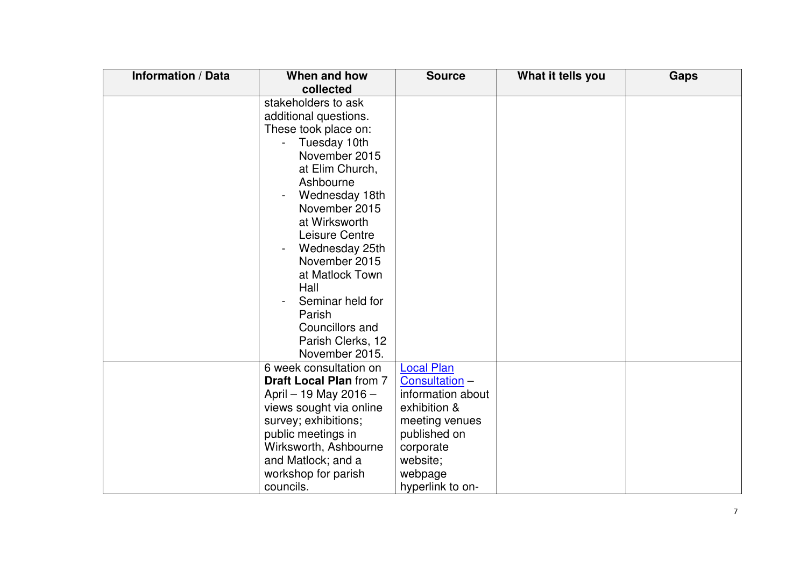| <b>Information / Data</b> | When and how                   | <b>Source</b>     | What it tells you | <b>Gaps</b> |
|---------------------------|--------------------------------|-------------------|-------------------|-------------|
|                           | collected                      |                   |                   |             |
|                           | stakeholders to ask            |                   |                   |             |
|                           | additional questions.          |                   |                   |             |
|                           | These took place on:           |                   |                   |             |
|                           | Tuesday 10th                   |                   |                   |             |
|                           | November 2015                  |                   |                   |             |
|                           | at Elim Church,                |                   |                   |             |
|                           | Ashbourne                      |                   |                   |             |
|                           | Wednesday 18th                 |                   |                   |             |
|                           | November 2015                  |                   |                   |             |
|                           | at Wirksworth                  |                   |                   |             |
|                           | Leisure Centre                 |                   |                   |             |
|                           | Wednesday 25th                 |                   |                   |             |
|                           | November 2015                  |                   |                   |             |
|                           | at Matlock Town                |                   |                   |             |
|                           | Hall                           |                   |                   |             |
|                           | Seminar held for               |                   |                   |             |
|                           | Parish                         |                   |                   |             |
|                           | Councillors and                |                   |                   |             |
|                           | Parish Clerks, 12              |                   |                   |             |
|                           | November 2015.                 |                   |                   |             |
|                           | 6 week consultation on         | <b>Local Plan</b> |                   |             |
|                           | <b>Draft Local Plan from 7</b> | Consultation -    |                   |             |
|                           | April - 19 May 2016 -          | information about |                   |             |
|                           | views sought via online        | exhibition &      |                   |             |
|                           | survey; exhibitions;           | meeting venues    |                   |             |
|                           | public meetings in             | published on      |                   |             |
|                           | Wirksworth, Ashbourne          | corporate         |                   |             |
|                           | and Matlock; and a             | website;          |                   |             |
|                           | workshop for parish            | webpage           |                   |             |
|                           | councils.                      | hyperlink to on-  |                   |             |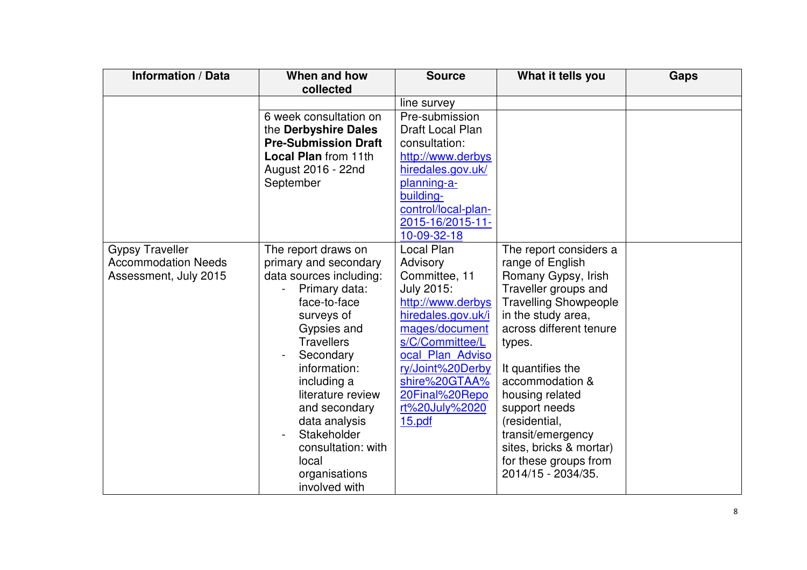| <b>Information / Data</b>  | When and how                | <b>Source</b>       | What it tells you            | <b>Gaps</b> |
|----------------------------|-----------------------------|---------------------|------------------------------|-------------|
|                            | collected                   |                     |                              |             |
|                            |                             | line survey         |                              |             |
|                            | 6 week consultation on      | Pre-submission      |                              |             |
|                            | the Derbyshire Dales        | Draft Local Plan    |                              |             |
|                            | <b>Pre-Submission Draft</b> | consultation:       |                              |             |
|                            | <b>Local Plan from 11th</b> | http://www.derbys   |                              |             |
|                            | August 2016 - 22nd          | hiredales.gov.uk/   |                              |             |
|                            | September                   | planning-a-         |                              |             |
|                            |                             | building-           |                              |             |
|                            |                             | control/local-plan- |                              |             |
|                            |                             | 2015-16/2015-11-    |                              |             |
|                            |                             | 10-09-32-18         |                              |             |
| <b>Gypsy Traveller</b>     | The report draws on         | Local Plan          | The report considers a       |             |
| <b>Accommodation Needs</b> | primary and secondary       | Advisory            | range of English             |             |
| Assessment, July 2015      | data sources including:     | Committee, 11       | Romany Gypsy, Irish          |             |
|                            | Primary data:               | July 2015:          | Traveller groups and         |             |
|                            | face-to-face                | http://www.derbys   | <b>Travelling Showpeople</b> |             |
|                            | surveys of                  | hiredales.gov.uk/i  | in the study area,           |             |
|                            | Gypsies and                 | mages/document      | across different tenure      |             |
|                            | <b>Travellers</b>           | s/C/Committee/L     | types.                       |             |
|                            | Secondary                   | ocal Plan Adviso    |                              |             |
|                            | information:                | ry/Joint%20Derby    | It quantifies the            |             |
|                            | including a                 | shire%20GTAA%       | accommodation &              |             |
|                            | literature review           | 20Final%20Repo      | housing related              |             |
|                            | and secondary               | rt%20July%2020      | support needs                |             |
|                            | data analysis               | 15.pdf              | (residential,                |             |
|                            | Stakeholder                 |                     | transit/emergency            |             |
|                            | consultation: with          |                     | sites, bricks & mortar)      |             |
|                            | local                       |                     | for these groups from        |             |
|                            | organisations               |                     | 2014/15 - 2034/35.           |             |
|                            | involved with               |                     |                              |             |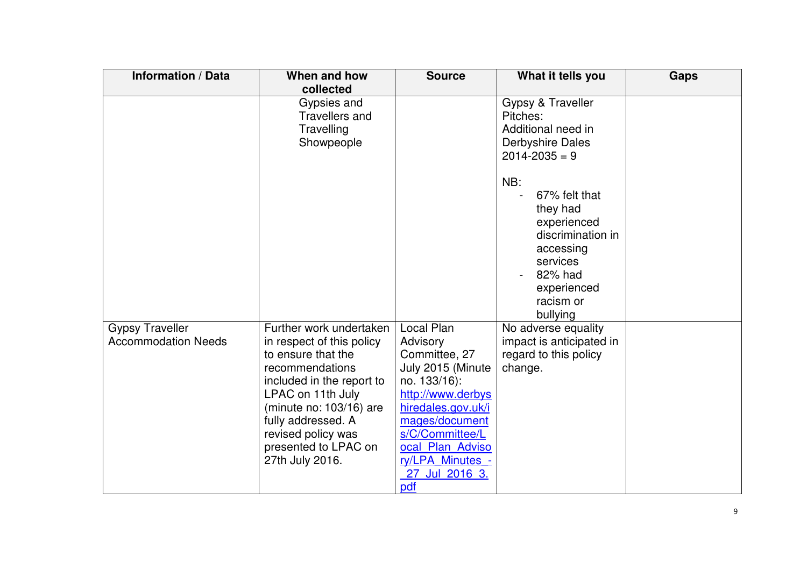| <b>Information / Data</b>                            | When and how<br>collected                                                                                                                                                                                                                                         | <b>Source</b>                                                                                                                                                                                                                 | What it tells you                                                                                                                                                                                                                           | <b>Gaps</b> |
|------------------------------------------------------|-------------------------------------------------------------------------------------------------------------------------------------------------------------------------------------------------------------------------------------------------------------------|-------------------------------------------------------------------------------------------------------------------------------------------------------------------------------------------------------------------------------|---------------------------------------------------------------------------------------------------------------------------------------------------------------------------------------------------------------------------------------------|-------------|
|                                                      | Gypsies and<br><b>Travellers and</b><br>Travelling<br>Showpeople                                                                                                                                                                                                  |                                                                                                                                                                                                                               | Gypsy & Traveller<br>Pitches:<br>Additional need in<br><b>Derbyshire Dales</b><br>$2014 - 2035 = 9$<br>NB:<br>67% felt that<br>they had<br>experienced<br>discrimination in<br>accessing<br>services<br>82% had<br>experienced<br>racism or |             |
| <b>Gypsy Traveller</b><br><b>Accommodation Needs</b> | Further work undertaken<br>in respect of this policy<br>to ensure that the<br>recommendations<br>included in the report to<br>LPAC on 11th July<br>(minute no: 103/16) are<br>fully addressed. A<br>revised policy was<br>presented to LPAC on<br>27th July 2016. | Local Plan<br>Advisory<br>Committee, 27<br>July 2015 (Minute<br>no. 133/16):<br>http://www.derbys<br>hiredales.gov.uk/i<br>mages/document<br>s/C/Committee/L<br>ocal Plan Adviso<br>ry/LPA Minutes -<br>27 Jul 2016 3.<br>pdf | bullying<br>No adverse equality<br>impact is anticipated in<br>regard to this policy<br>change.                                                                                                                                             |             |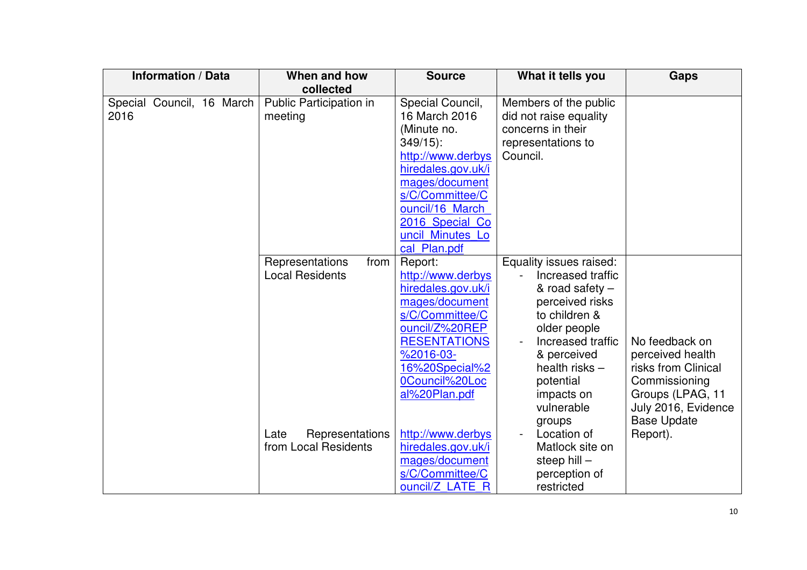|      | <b>Information / Data</b> |                           | When and how<br>collected                         | <b>Source</b>                                                                                                                                                                                                        | What it tells you                                                                                                                                                                                                    | <b>Gaps</b>                                                                                                           |
|------|---------------------------|---------------------------|---------------------------------------------------|----------------------------------------------------------------------------------------------------------------------------------------------------------------------------------------------------------------------|----------------------------------------------------------------------------------------------------------------------------------------------------------------------------------------------------------------------|-----------------------------------------------------------------------------------------------------------------------|
| 2016 |                           | Special Council, 16 March | Public Participation in<br>meeting                | Special Council,<br>16 March 2016<br>(Minute no.<br>$349/15$ :<br>http://www.derbys<br>hiredales.gov.uk/i<br>mages/document<br>s/C/Committee/C<br>ouncil/16 March<br>2016 Special Co<br>uncil Minutes Lo             | Members of the public<br>did not raise equality<br>concerns in their<br>representations to<br>Council.                                                                                                               |                                                                                                                       |
|      |                           |                           | Representations<br>from<br><b>Local Residents</b> | cal Plan.pdf<br>Report:<br>http://www.derbys<br>hiredales.gov.uk/i<br>mages/document<br>s/C/Committee/C<br>ouncil/Z%20REP<br><b>RESENTATIONS</b><br>$%2016-03-$<br>16%20Special%2<br>0Council%20Loc<br>al%20Plan.pdf | Equality issues raised:<br>Increased traffic<br>& road safety -<br>perceived risks<br>to children &<br>older people<br>Increased traffic<br>& perceived<br>health risks $-$<br>potential<br>impacts on<br>vulnerable | No feedback on<br>perceived health<br>risks from Clinical<br>Commissioning<br>Groups (LPAG, 11<br>July 2016, Evidence |
|      |                           |                           | Representations<br>Late<br>from Local Residents   | http://www.derbys<br>hiredales.gov.uk/i<br>mages/document<br>s/C/Committee/C<br>ouncil/Z LATE R                                                                                                                      | groups<br>Location of<br>Matlock site on<br>steep hill -<br>perception of<br>restricted                                                                                                                              | <b>Base Update</b><br>Report).                                                                                        |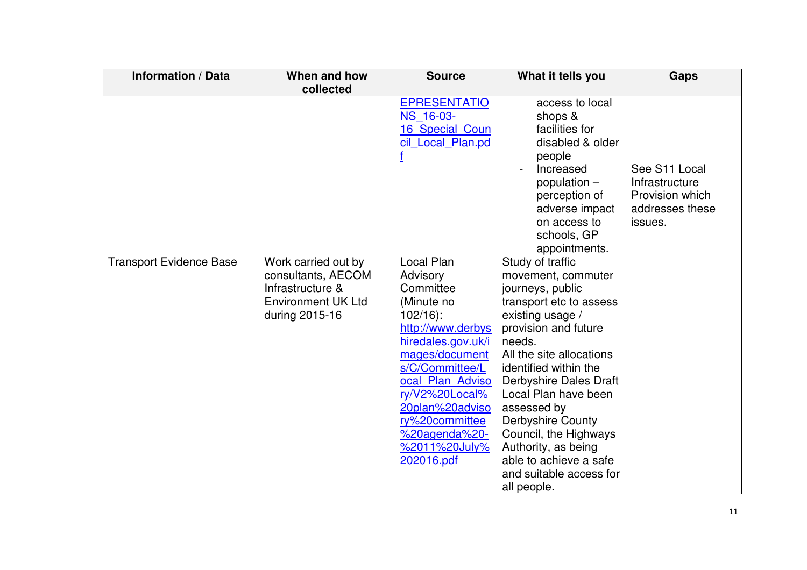| <b>Information / Data</b>      | When and how                                                                                                 | <b>Source</b>                                                                                                                                                                                                                                                              | What it tells you                                                                                                                                                                                                                                                                                                                                                                                                 | <b>Gaps</b>                                                                      |
|--------------------------------|--------------------------------------------------------------------------------------------------------------|----------------------------------------------------------------------------------------------------------------------------------------------------------------------------------------------------------------------------------------------------------------------------|-------------------------------------------------------------------------------------------------------------------------------------------------------------------------------------------------------------------------------------------------------------------------------------------------------------------------------------------------------------------------------------------------------------------|----------------------------------------------------------------------------------|
|                                | collected                                                                                                    |                                                                                                                                                                                                                                                                            |                                                                                                                                                                                                                                                                                                                                                                                                                   |                                                                                  |
|                                |                                                                                                              | <b>EPRESENTATIO</b><br>NS 16-03-<br>16 Special Coun<br>cil Local Plan.pd                                                                                                                                                                                                   | access to local<br>shops &<br>facilities for<br>disabled & older<br>people<br>Increased<br>population $-$<br>perception of<br>adverse impact<br>on access to<br>schools, GP<br>appointments.                                                                                                                                                                                                                      | See S11 Local<br>Infrastructure<br>Provision which<br>addresses these<br>issues. |
| <b>Transport Evidence Base</b> | Work carried out by<br>consultants, AECOM<br>Infrastructure &<br><b>Environment UK Ltd</b><br>during 2015-16 | Local Plan<br>Advisory<br>Committee<br>(Minute no<br>$102/16$ :<br>http://www.derbys<br>hiredales.gov.uk/i<br>mages/document<br>s/C/Committee/L<br>ocal Plan Adviso<br>ry/V2%20Local%<br>20plan%20adviso<br>ry%20committee<br>%20agenda%20-<br>%2011%20July%<br>202016.pdf | Study of traffic<br>movement, commuter<br>journeys, public<br>transport etc to assess<br>existing usage /<br>provision and future<br>needs.<br>All the site allocations<br>identified within the<br>Derbyshire Dales Draft<br>Local Plan have been<br>assessed by<br><b>Derbyshire County</b><br>Council, the Highways<br>Authority, as being<br>able to achieve a safe<br>and suitable access for<br>all people. |                                                                                  |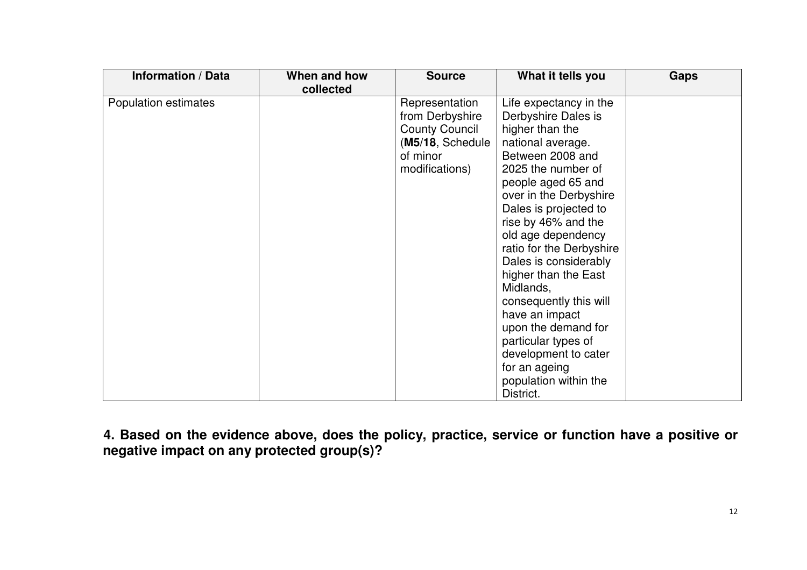| <b>Information / Data</b> | When and how | <b>Source</b>                                                                                                | What it tells you                                                                                                                                                                                                                                                                                                                                                                                                                                                                                                        | <b>Gaps</b> |
|---------------------------|--------------|--------------------------------------------------------------------------------------------------------------|--------------------------------------------------------------------------------------------------------------------------------------------------------------------------------------------------------------------------------------------------------------------------------------------------------------------------------------------------------------------------------------------------------------------------------------------------------------------------------------------------------------------------|-------------|
|                           | collected    |                                                                                                              |                                                                                                                                                                                                                                                                                                                                                                                                                                                                                                                          |             |
| Population estimates      |              | Representation<br>from Derbyshire<br><b>County Council</b><br>(M5/18, Schedule<br>of minor<br>modifications) | Life expectancy in the<br>Derbyshire Dales is<br>higher than the<br>national average.<br>Between 2008 and<br>2025 the number of<br>people aged 65 and<br>over in the Derbyshire<br>Dales is projected to<br>rise by 46% and the<br>old age dependency<br>ratio for the Derbyshire<br>Dales is considerably<br>higher than the East<br>Midlands,<br>consequently this will<br>have an impact<br>upon the demand for<br>particular types of<br>development to cater<br>for an ageing<br>population within the<br>District. |             |

**4. Based on the evidence above, does the policy, practice, service or function have a positive or negative impact on any protected group(s)?**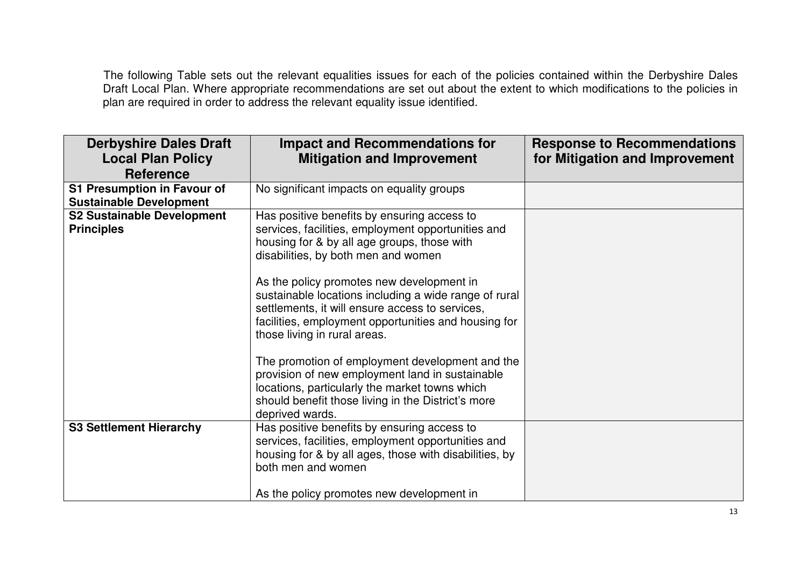The following Table sets out the relevant equalities issues for each of the policies contained within the Derbyshire Dales<br>Draft Local Plan. Where appropriate recommendations are set out about the extent to which modificat plan are required in order to address the relevant equality issue identified.

| <b>Derbyshire Dales Draft</b><br><b>Local Plan Policy</b><br><b>Reference</b> | <b>Impact and Recommendations for</b><br><b>Mitigation and Improvement</b>                                                                                                                                                    | <b>Response to Recommendations</b><br>for Mitigation and Improvement |
|-------------------------------------------------------------------------------|-------------------------------------------------------------------------------------------------------------------------------------------------------------------------------------------------------------------------------|----------------------------------------------------------------------|
|                                                                               |                                                                                                                                                                                                                               |                                                                      |
| <b>S1 Presumption in Favour of</b>                                            | No significant impacts on equality groups                                                                                                                                                                                     |                                                                      |
| <b>Sustainable Development</b>                                                |                                                                                                                                                                                                                               |                                                                      |
| <b>S2 Sustainable Development</b><br><b>Principles</b>                        | Has positive benefits by ensuring access to<br>services, facilities, employment opportunities and<br>housing for & by all age groups, those with                                                                              |                                                                      |
|                                                                               | disabilities, by both men and women<br>As the policy promotes new development in                                                                                                                                              |                                                                      |
|                                                                               | sustainable locations including a wide range of rural<br>settlements, it will ensure access to services,<br>facilities, employment opportunities and housing for<br>those living in rural areas.                              |                                                                      |
|                                                                               | The promotion of employment development and the<br>provision of new employment land in sustainable<br>locations, particularly the market towns which<br>should benefit those living in the District's more<br>deprived wards. |                                                                      |
| <b>S3 Settlement Hierarchy</b>                                                | Has positive benefits by ensuring access to<br>services, facilities, employment opportunities and<br>housing for & by all ages, those with disabilities, by<br>both men and women                                             |                                                                      |
|                                                                               | As the policy promotes new development in                                                                                                                                                                                     |                                                                      |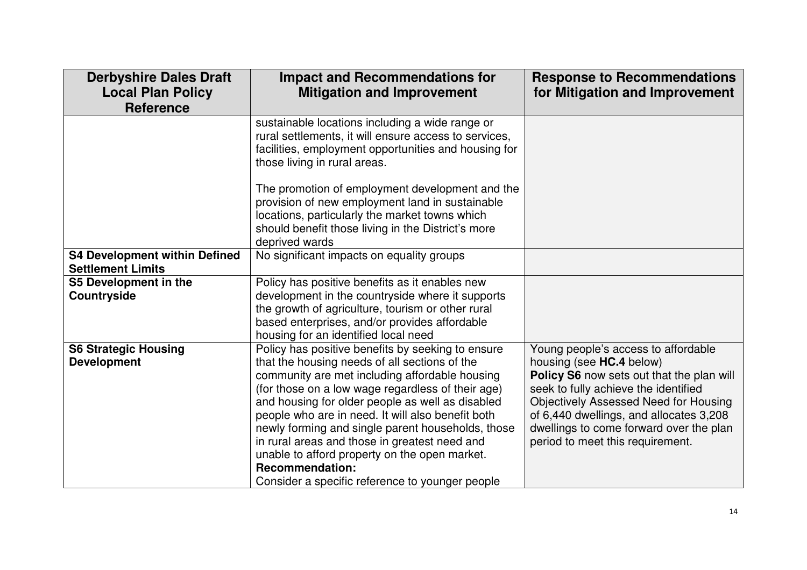| <b>Derbyshire Dales Draft</b><br><b>Local Plan Policy</b><br><b>Reference</b> | <b>Impact and Recommendations for</b><br><b>Mitigation and Improvement</b>                                                                                                                                                                                                                                                                                                                                                                                                                                                                             | <b>Response to Recommendations</b><br>for Mitigation and Improvement                                                                                                                                                                                                                                                           |
|-------------------------------------------------------------------------------|--------------------------------------------------------------------------------------------------------------------------------------------------------------------------------------------------------------------------------------------------------------------------------------------------------------------------------------------------------------------------------------------------------------------------------------------------------------------------------------------------------------------------------------------------------|--------------------------------------------------------------------------------------------------------------------------------------------------------------------------------------------------------------------------------------------------------------------------------------------------------------------------------|
|                                                                               | sustainable locations including a wide range or<br>rural settlements, it will ensure access to services,<br>facilities, employment opportunities and housing for<br>those living in rural areas.                                                                                                                                                                                                                                                                                                                                                       |                                                                                                                                                                                                                                                                                                                                |
|                                                                               | The promotion of employment development and the<br>provision of new employment land in sustainable<br>locations, particularly the market towns which<br>should benefit those living in the District's more<br>deprived wards                                                                                                                                                                                                                                                                                                                           |                                                                                                                                                                                                                                                                                                                                |
| <b>S4 Development within Defined</b><br><b>Settlement Limits</b>              | No significant impacts on equality groups                                                                                                                                                                                                                                                                                                                                                                                                                                                                                                              |                                                                                                                                                                                                                                                                                                                                |
| S5 Development in the<br><b>Countryside</b>                                   | Policy has positive benefits as it enables new<br>development in the countryside where it supports<br>the growth of agriculture, tourism or other rural<br>based enterprises, and/or provides affordable<br>housing for an identified local need                                                                                                                                                                                                                                                                                                       |                                                                                                                                                                                                                                                                                                                                |
| <b>S6 Strategic Housing</b><br><b>Development</b>                             | Policy has positive benefits by seeking to ensure<br>that the housing needs of all sections of the<br>community are met including affordable housing<br>(for those on a low wage regardless of their age)<br>and housing for older people as well as disabled<br>people who are in need. It will also benefit both<br>newly forming and single parent households, those<br>in rural areas and those in greatest need and<br>unable to afford property on the open market.<br><b>Recommendation:</b><br>Consider a specific reference to younger people | Young people's access to affordable<br>housing (see HC.4 below)<br>Policy S6 now sets out that the plan will<br>seek to fully achieve the identified<br><b>Objectively Assessed Need for Housing</b><br>of 6,440 dwellings, and allocates 3,208<br>dwellings to come forward over the plan<br>period to meet this requirement. |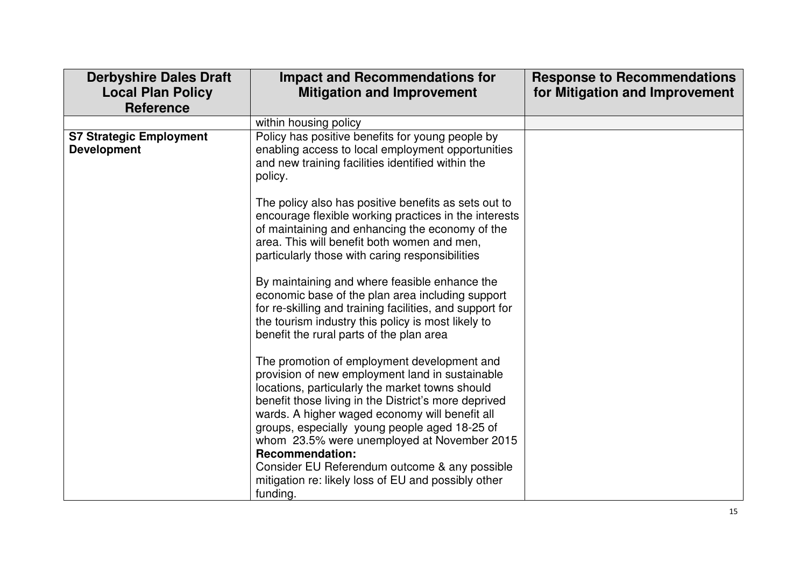| <b>Derbyshire Dales Draft</b><br><b>Local Plan Policy</b><br><b>Reference</b> | <b>Impact and Recommendations for</b><br><b>Mitigation and Improvement</b>                                                                                                                                                                                                                                                                                                                                                                                                                                | <b>Response to Recommendations</b><br>for Mitigation and Improvement |
|-------------------------------------------------------------------------------|-----------------------------------------------------------------------------------------------------------------------------------------------------------------------------------------------------------------------------------------------------------------------------------------------------------------------------------------------------------------------------------------------------------------------------------------------------------------------------------------------------------|----------------------------------------------------------------------|
|                                                                               | within housing policy                                                                                                                                                                                                                                                                                                                                                                                                                                                                                     |                                                                      |
| <b>S7 Strategic Employment</b><br><b>Development</b>                          | Policy has positive benefits for young people by<br>enabling access to local employment opportunities<br>and new training facilities identified within the<br>policy.                                                                                                                                                                                                                                                                                                                                     |                                                                      |
|                                                                               | The policy also has positive benefits as sets out to<br>encourage flexible working practices in the interests<br>of maintaining and enhancing the economy of the<br>area. This will benefit both women and men,<br>particularly those with caring responsibilities                                                                                                                                                                                                                                        |                                                                      |
|                                                                               | By maintaining and where feasible enhance the<br>economic base of the plan area including support<br>for re-skilling and training facilities, and support for<br>the tourism industry this policy is most likely to<br>benefit the rural parts of the plan area                                                                                                                                                                                                                                           |                                                                      |
|                                                                               | The promotion of employment development and<br>provision of new employment land in sustainable<br>locations, particularly the market towns should<br>benefit those living in the District's more deprived<br>wards. A higher waged economy will benefit all<br>groups, especially young people aged 18-25 of<br>whom 23.5% were unemployed at November 2015<br><b>Recommendation:</b><br>Consider EU Referendum outcome & any possible<br>mitigation re: likely loss of EU and possibly other<br>funding. |                                                                      |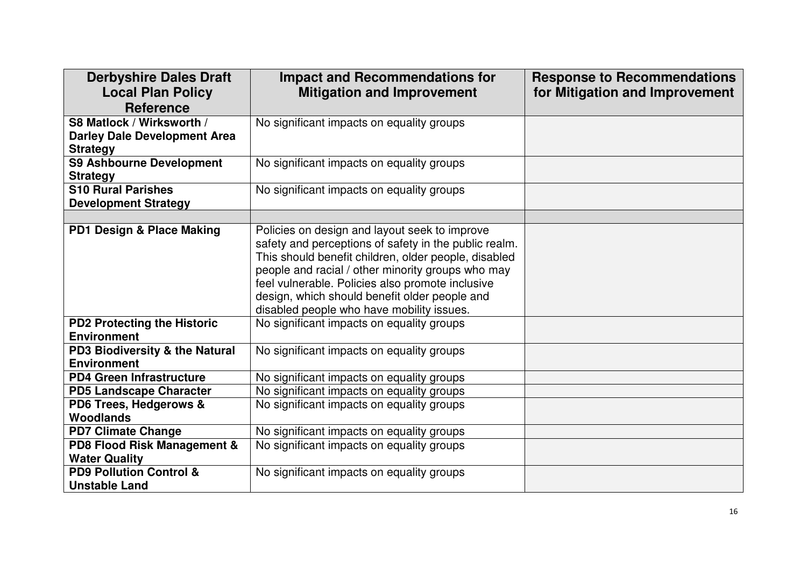| <b>Derbyshire Dales Draft</b><br><b>Local Plan Policy</b><br><b>Reference</b>       | <b>Impact and Recommendations for</b><br><b>Mitigation and Improvement</b>                                                                                                                                                                                                                                                                                            | <b>Response to Recommendations</b><br>for Mitigation and Improvement |
|-------------------------------------------------------------------------------------|-----------------------------------------------------------------------------------------------------------------------------------------------------------------------------------------------------------------------------------------------------------------------------------------------------------------------------------------------------------------------|----------------------------------------------------------------------|
| S8 Matlock / Wirksworth /<br><b>Darley Dale Development Area</b><br><b>Strategy</b> | No significant impacts on equality groups                                                                                                                                                                                                                                                                                                                             |                                                                      |
| <b>S9 Ashbourne Development</b><br><b>Strategy</b>                                  | No significant impacts on equality groups                                                                                                                                                                                                                                                                                                                             |                                                                      |
| <b>S10 Rural Parishes</b><br><b>Development Strategy</b>                            | No significant impacts on equality groups                                                                                                                                                                                                                                                                                                                             |                                                                      |
|                                                                                     |                                                                                                                                                                                                                                                                                                                                                                       |                                                                      |
| PD1 Design & Place Making                                                           | Policies on design and layout seek to improve<br>safety and perceptions of safety in the public realm.<br>This should benefit children, older people, disabled<br>people and racial / other minority groups who may<br>feel vulnerable. Policies also promote inclusive<br>design, which should benefit older people and<br>disabled people who have mobility issues. |                                                                      |
| <b>PD2 Protecting the Historic</b><br><b>Environment</b>                            | No significant impacts on equality groups                                                                                                                                                                                                                                                                                                                             |                                                                      |
| PD3 Biodiversity & the Natural<br><b>Environment</b>                                | No significant impacts on equality groups                                                                                                                                                                                                                                                                                                                             |                                                                      |
| <b>PD4 Green Infrastructure</b>                                                     | No significant impacts on equality groups                                                                                                                                                                                                                                                                                                                             |                                                                      |
| <b>PD5 Landscape Character</b>                                                      | No significant impacts on equality groups                                                                                                                                                                                                                                                                                                                             |                                                                      |
| PD6 Trees, Hedgerows &<br><b>Woodlands</b>                                          | No significant impacts on equality groups                                                                                                                                                                                                                                                                                                                             |                                                                      |
| <b>PD7 Climate Change</b>                                                           | No significant impacts on equality groups                                                                                                                                                                                                                                                                                                                             |                                                                      |
| PD8 Flood Risk Management &<br><b>Water Quality</b>                                 | No significant impacts on equality groups                                                                                                                                                                                                                                                                                                                             |                                                                      |
| <b>PD9 Pollution Control &amp;</b><br><b>Unstable Land</b>                          | No significant impacts on equality groups                                                                                                                                                                                                                                                                                                                             |                                                                      |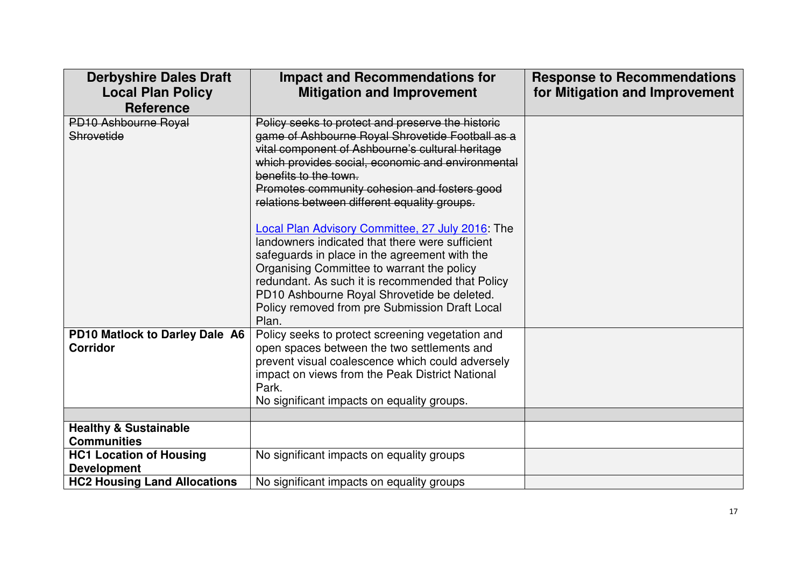| <b>Derbyshire Dales Draft</b><br><b>Local Plan Policy</b> | <b>Impact and Recommendations for</b><br><b>Mitigation and Improvement</b> | <b>Response to Recommendations</b><br>for Mitigation and Improvement |
|-----------------------------------------------------------|----------------------------------------------------------------------------|----------------------------------------------------------------------|
| <b>Reference</b>                                          |                                                                            |                                                                      |
| PD10 Ashbourne Royal                                      | Policy seeks to protect and preserve the historic                          |                                                                      |
| Shrovetide                                                | game of Ashbourne Royal Shrovetide Football as a                           |                                                                      |
|                                                           | vital component of Ashbourne's cultural heritage                           |                                                                      |
|                                                           | which provides social, economic and environmental<br>benefits to the town. |                                                                      |
|                                                           | Promotes community cohesion and fosters good                               |                                                                      |
|                                                           | relations between different equality groups.                               |                                                                      |
|                                                           |                                                                            |                                                                      |
|                                                           | Local Plan Advisory Committee, 27 July 2016: The                           |                                                                      |
|                                                           | landowners indicated that there were sufficient                            |                                                                      |
|                                                           | safeguards in place in the agreement with the                              |                                                                      |
|                                                           | Organising Committee to warrant the policy                                 |                                                                      |
|                                                           | redundant. As such it is recommended that Policy                           |                                                                      |
|                                                           | PD10 Ashbourne Royal Shrovetide be deleted.                                |                                                                      |
|                                                           | Policy removed from pre Submission Draft Local<br>Plan.                    |                                                                      |
| PD10 Matlock to Darley Dale A6                            | Policy seeks to protect screening vegetation and                           |                                                                      |
| <b>Corridor</b>                                           | open spaces between the two settlements and                                |                                                                      |
|                                                           | prevent visual coalescence which could adversely                           |                                                                      |
|                                                           | impact on views from the Peak District National                            |                                                                      |
|                                                           | Park.                                                                      |                                                                      |
|                                                           | No significant impacts on equality groups.                                 |                                                                      |
|                                                           |                                                                            |                                                                      |
| <b>Healthy &amp; Sustainable</b>                          |                                                                            |                                                                      |
| <b>Communities</b>                                        |                                                                            |                                                                      |
| <b>HC1 Location of Housing</b>                            | No significant impacts on equality groups                                  |                                                                      |
| <b>Development</b>                                        |                                                                            |                                                                      |
| <b>HC2 Housing Land Allocations</b>                       | No significant impacts on equality groups                                  |                                                                      |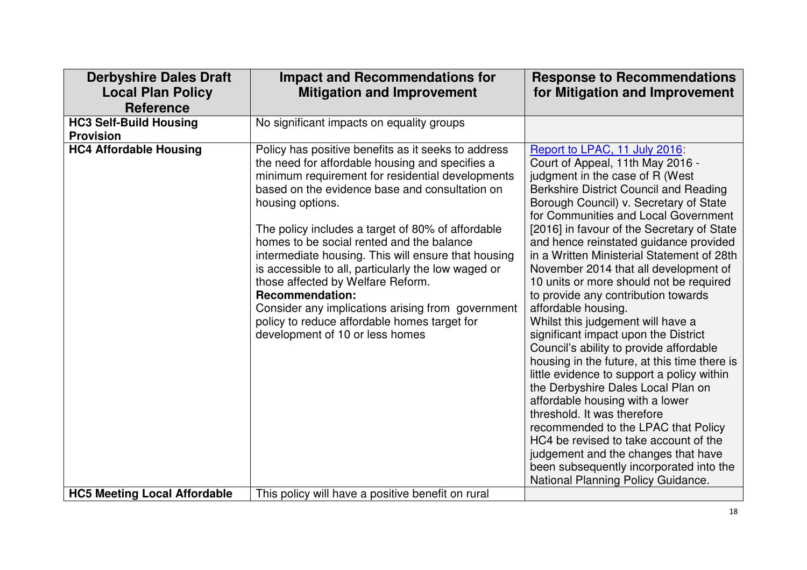| <b>Derbyshire Dales Draft</b><br><b>Local Plan Policy</b><br><b>Reference</b> | <b>Impact and Recommendations for</b><br><b>Mitigation and Improvement</b>                                                                                                                                                                                                                                                                                                                                                                                                                                                                                                                                                                              | <b>Response to Recommendations</b><br>for Mitigation and Improvement                                                                                                                                                                                                                                                                                                                                                                                                                                                                                                                                                                                                                                                                                                                                                                                                                                                                                                                                                                                           |
|-------------------------------------------------------------------------------|---------------------------------------------------------------------------------------------------------------------------------------------------------------------------------------------------------------------------------------------------------------------------------------------------------------------------------------------------------------------------------------------------------------------------------------------------------------------------------------------------------------------------------------------------------------------------------------------------------------------------------------------------------|----------------------------------------------------------------------------------------------------------------------------------------------------------------------------------------------------------------------------------------------------------------------------------------------------------------------------------------------------------------------------------------------------------------------------------------------------------------------------------------------------------------------------------------------------------------------------------------------------------------------------------------------------------------------------------------------------------------------------------------------------------------------------------------------------------------------------------------------------------------------------------------------------------------------------------------------------------------------------------------------------------------------------------------------------------------|
| <b>HC3 Self-Build Housing</b><br><b>Provision</b>                             | No significant impacts on equality groups                                                                                                                                                                                                                                                                                                                                                                                                                                                                                                                                                                                                               |                                                                                                                                                                                                                                                                                                                                                                                                                                                                                                                                                                                                                                                                                                                                                                                                                                                                                                                                                                                                                                                                |
| <b>HC4 Affordable Housing</b>                                                 | Policy has positive benefits as it seeks to address<br>the need for affordable housing and specifies a<br>minimum requirement for residential developments<br>based on the evidence base and consultation on<br>housing options.<br>The policy includes a target of 80% of affordable<br>homes to be social rented and the balance<br>intermediate housing. This will ensure that housing<br>is accessible to all, particularly the low waged or<br>those affected by Welfare Reform.<br><b>Recommendation:</b><br>Consider any implications arising from government<br>policy to reduce affordable homes target for<br>development of 10 or less homes | Report to LPAC, 11 July 2016:<br>Court of Appeal, 11th May 2016 -<br>judgment in the case of R (West<br>Berkshire District Council and Reading<br>Borough Council) v. Secretary of State<br>for Communities and Local Government<br>[2016] in favour of the Secretary of State<br>and hence reinstated guidance provided<br>in a Written Ministerial Statement of 28th<br>November 2014 that all development of<br>10 units or more should not be required<br>to provide any contribution towards<br>affordable housing.<br>Whilst this judgement will have a<br>significant impact upon the District<br>Council's ability to provide affordable<br>housing in the future, at this time there is<br>little evidence to support a policy within<br>the Derbyshire Dales Local Plan on<br>affordable housing with a lower<br>threshold. It was therefore<br>recommended to the LPAC that Policy<br>HC4 be revised to take account of the<br>judgement and the changes that have<br>been subsequently incorporated into the<br>National Planning Policy Guidance. |
| <b>HC5 Meeting Local Affordable</b>                                           | This policy will have a positive benefit on rural                                                                                                                                                                                                                                                                                                                                                                                                                                                                                                                                                                                                       |                                                                                                                                                                                                                                                                                                                                                                                                                                                                                                                                                                                                                                                                                                                                                                                                                                                                                                                                                                                                                                                                |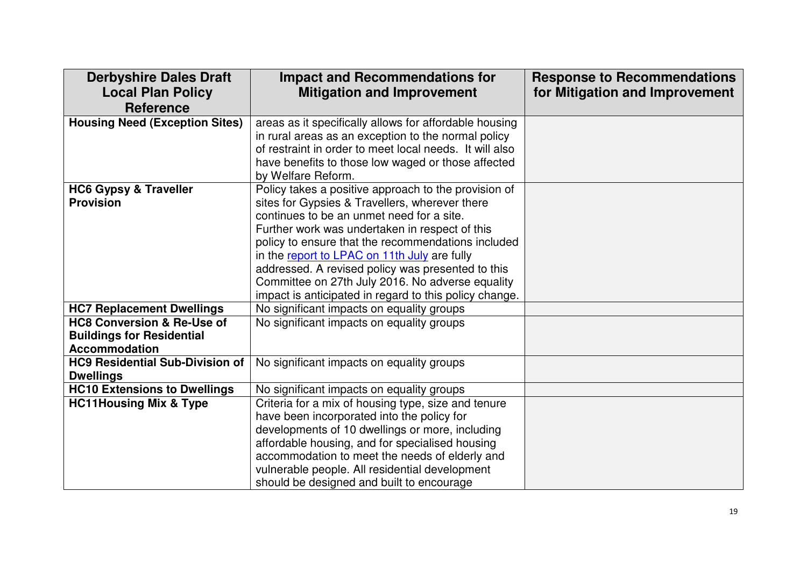| <b>Derbyshire Dales Draft</b><br><b>Local Plan Policy</b><br><b>Reference</b> | <b>Impact and Recommendations for</b><br><b>Mitigation and Improvement</b>                        | <b>Response to Recommendations</b><br>for Mitigation and Improvement |
|-------------------------------------------------------------------------------|---------------------------------------------------------------------------------------------------|----------------------------------------------------------------------|
| <b>Housing Need (Exception Sites)</b>                                         | areas as it specifically allows for affordable housing                                            |                                                                      |
|                                                                               | in rural areas as an exception to the normal policy                                               |                                                                      |
|                                                                               | of restraint in order to meet local needs. It will also                                           |                                                                      |
|                                                                               | have benefits to those low waged or those affected                                                |                                                                      |
|                                                                               | by Welfare Reform.                                                                                |                                                                      |
| <b>HC6 Gypsy &amp; Traveller</b>                                              | Policy takes a positive approach to the provision of                                              |                                                                      |
| <b>Provision</b>                                                              | sites for Gypsies & Travellers, wherever there                                                    |                                                                      |
|                                                                               | continues to be an unmet need for a site.                                                         |                                                                      |
|                                                                               | Further work was undertaken in respect of this                                                    |                                                                      |
|                                                                               | policy to ensure that the recommendations included                                                |                                                                      |
|                                                                               | in the report to LPAC on 11th July are fully<br>addressed. A revised policy was presented to this |                                                                      |
|                                                                               | Committee on 27th July 2016. No adverse equality                                                  |                                                                      |
|                                                                               | impact is anticipated in regard to this policy change.                                            |                                                                      |
| <b>HC7 Replacement Dwellings</b>                                              | No significant impacts on equality groups                                                         |                                                                      |
| <b>HC8 Conversion &amp; Re-Use of</b>                                         | No significant impacts on equality groups                                                         |                                                                      |
| <b>Buildings for Residential</b>                                              |                                                                                                   |                                                                      |
| <b>Accommodation</b>                                                          |                                                                                                   |                                                                      |
| <b>HC9 Residential Sub-Division of</b>                                        | No significant impacts on equality groups                                                         |                                                                      |
| <b>Dwellings</b>                                                              |                                                                                                   |                                                                      |
| <b>HC10 Extensions to Dwellings</b>                                           | No significant impacts on equality groups                                                         |                                                                      |
| <b>HC11Housing Mix &amp; Type</b>                                             | Criteria for a mix of housing type, size and tenure                                               |                                                                      |
|                                                                               | have been incorporated into the policy for                                                        |                                                                      |
|                                                                               | developments of 10 dwellings or more, including                                                   |                                                                      |
|                                                                               | affordable housing, and for specialised housing                                                   |                                                                      |
|                                                                               | accommodation to meet the needs of elderly and                                                    |                                                                      |
|                                                                               | vulnerable people. All residential development                                                    |                                                                      |
|                                                                               | should be designed and built to encourage                                                         |                                                                      |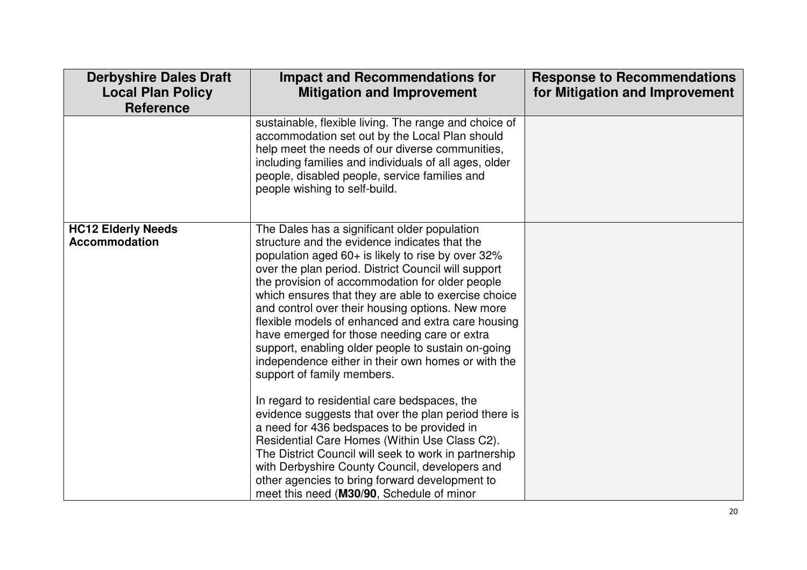| <b>Derbyshire Dales Draft</b><br><b>Local Plan Policy</b><br><b>Reference</b> | <b>Impact and Recommendations for</b><br><b>Mitigation and Improvement</b>                                                                                                                                                                                                                                                                                                                                                                                                                                                                                                                                                                                                                                                                                                                                                                                                              | <b>Response to Recommendations</b><br>for Mitigation and Improvement |
|-------------------------------------------------------------------------------|-----------------------------------------------------------------------------------------------------------------------------------------------------------------------------------------------------------------------------------------------------------------------------------------------------------------------------------------------------------------------------------------------------------------------------------------------------------------------------------------------------------------------------------------------------------------------------------------------------------------------------------------------------------------------------------------------------------------------------------------------------------------------------------------------------------------------------------------------------------------------------------------|----------------------------------------------------------------------|
|                                                                               | sustainable, flexible living. The range and choice of<br>accommodation set out by the Local Plan should<br>help meet the needs of our diverse communities,<br>including families and individuals of all ages, older<br>people, disabled people, service families and<br>people wishing to self-build.                                                                                                                                                                                                                                                                                                                                                                                                                                                                                                                                                                                   |                                                                      |
| <b>HC12 Elderly Needs</b><br><b>Accommodation</b>                             | The Dales has a significant older population<br>structure and the evidence indicates that the<br>population aged 60+ is likely to rise by over 32%<br>over the plan period. District Council will support<br>the provision of accommodation for older people<br>which ensures that they are able to exercise choice<br>and control over their housing options. New more<br>flexible models of enhanced and extra care housing<br>have emerged for those needing care or extra<br>support, enabling older people to sustain on-going<br>independence either in their own homes or with the<br>support of family members.<br>In regard to residential care bedspaces, the<br>evidence suggests that over the plan period there is<br>a need for 436 bedspaces to be provided in<br>Residential Care Homes (Within Use Class C2).<br>The District Council will seek to work in partnership |                                                                      |
|                                                                               | with Derbyshire County Council, developers and<br>other agencies to bring forward development to<br>meet this need (M30/90, Schedule of minor                                                                                                                                                                                                                                                                                                                                                                                                                                                                                                                                                                                                                                                                                                                                           |                                                                      |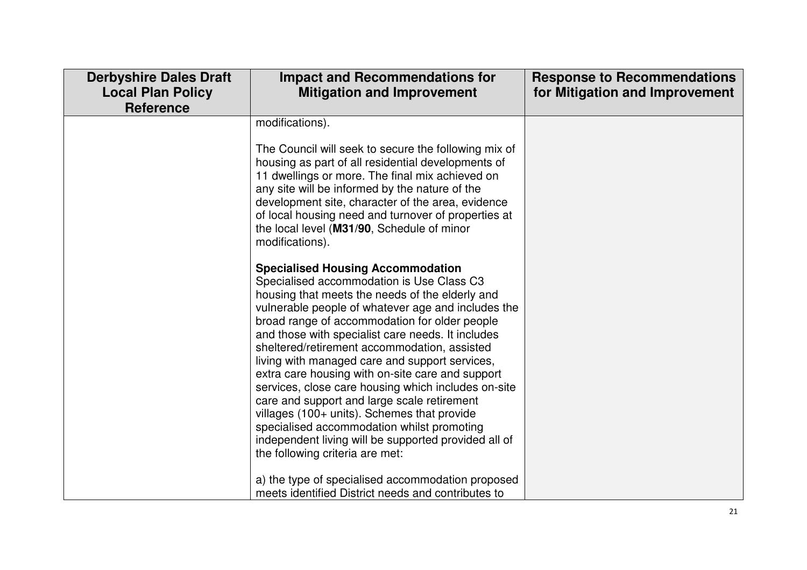| <b>Derbyshire Dales Draft</b><br><b>Local Plan Policy</b><br><b>Reference</b> | <b>Impact and Recommendations for</b><br><b>Mitigation and Improvement</b>                                                                                                                                                                                                                                                                                                                                                                                                                                                                                                                                                                                                                                                                                                                                    | <b>Response to Recommendations</b><br>for Mitigation and Improvement |
|-------------------------------------------------------------------------------|---------------------------------------------------------------------------------------------------------------------------------------------------------------------------------------------------------------------------------------------------------------------------------------------------------------------------------------------------------------------------------------------------------------------------------------------------------------------------------------------------------------------------------------------------------------------------------------------------------------------------------------------------------------------------------------------------------------------------------------------------------------------------------------------------------------|----------------------------------------------------------------------|
|                                                                               | modifications).<br>The Council will seek to secure the following mix of<br>housing as part of all residential developments of<br>11 dwellings or more. The final mix achieved on<br>any site will be informed by the nature of the<br>development site, character of the area, evidence<br>of local housing need and turnover of properties at<br>the local level (M31/90, Schedule of minor<br>modifications).                                                                                                                                                                                                                                                                                                                                                                                               |                                                                      |
|                                                                               | <b>Specialised Housing Accommodation</b><br>Specialised accommodation is Use Class C3<br>housing that meets the needs of the elderly and<br>vulnerable people of whatever age and includes the<br>broad range of accommodation for older people<br>and those with specialist care needs. It includes<br>sheltered/retirement accommodation, assisted<br>living with managed care and support services,<br>extra care housing with on-site care and support<br>services, close care housing which includes on-site<br>care and support and large scale retirement<br>villages (100+ units). Schemes that provide<br>specialised accommodation whilst promoting<br>independent living will be supported provided all of<br>the following criteria are met:<br>a) the type of specialised accommodation proposed |                                                                      |
|                                                                               | meets identified District needs and contributes to                                                                                                                                                                                                                                                                                                                                                                                                                                                                                                                                                                                                                                                                                                                                                            |                                                                      |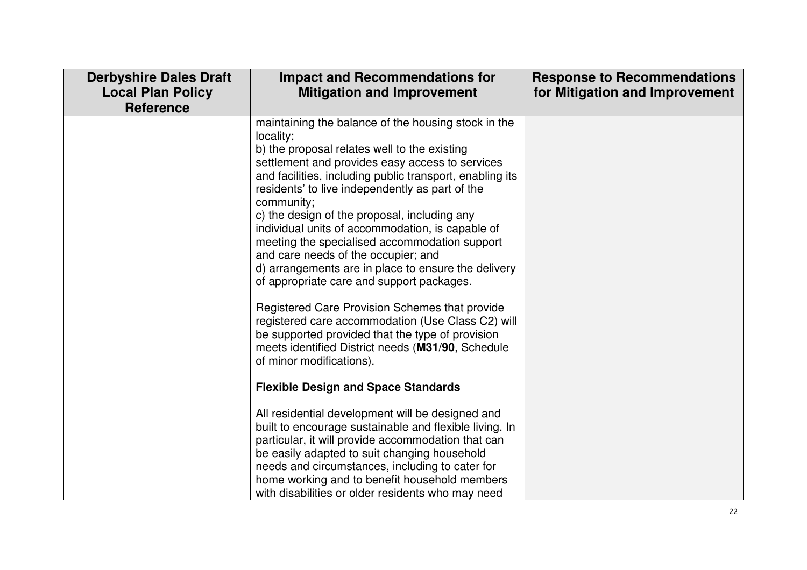| <b>Derbyshire Dales Draft</b><br><b>Local Plan Policy</b><br><b>Reference</b> | <b>Impact and Recommendations for</b><br><b>Mitigation and Improvement</b>                                                                                                                                                                                                                                                                                                                                                                                                                                                                                                                                                                                                                                                                                                                                                                   | <b>Response to Recommendations</b><br>for Mitigation and Improvement |
|-------------------------------------------------------------------------------|----------------------------------------------------------------------------------------------------------------------------------------------------------------------------------------------------------------------------------------------------------------------------------------------------------------------------------------------------------------------------------------------------------------------------------------------------------------------------------------------------------------------------------------------------------------------------------------------------------------------------------------------------------------------------------------------------------------------------------------------------------------------------------------------------------------------------------------------|----------------------------------------------------------------------|
|                                                                               | maintaining the balance of the housing stock in the<br>locality;<br>b) the proposal relates well to the existing<br>settlement and provides easy access to services<br>and facilities, including public transport, enabling its<br>residents' to live independently as part of the<br>community;<br>c) the design of the proposal, including any<br>individual units of accommodation, is capable of<br>meeting the specialised accommodation support<br>and care needs of the occupier; and<br>d) arrangements are in place to ensure the delivery<br>of appropriate care and support packages.<br>Registered Care Provision Schemes that provide<br>registered care accommodation (Use Class C2) will<br>be supported provided that the type of provision<br>meets identified District needs (M31/90, Schedule<br>of minor modifications). |                                                                      |
|                                                                               | <b>Flexible Design and Space Standards</b><br>All residential development will be designed and<br>built to encourage sustainable and flexible living. In<br>particular, it will provide accommodation that can<br>be easily adapted to suit changing household<br>needs and circumstances, including to cater for<br>home working and to benefit household members<br>with disabilities or older residents who may need                                                                                                                                                                                                                                                                                                                                                                                                                      |                                                                      |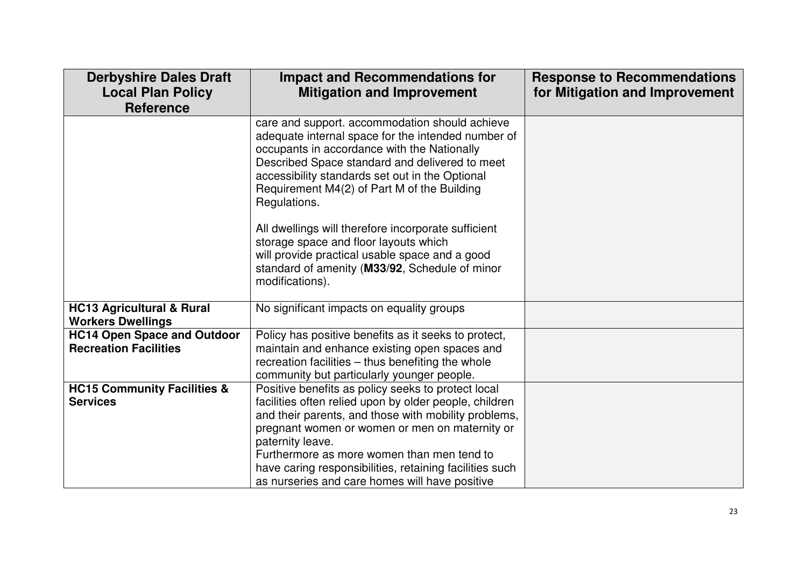| <b>Derbyshire Dales Draft</b><br><b>Local Plan Policy</b><br><b>Reference</b> | <b>Impact and Recommendations for</b><br><b>Mitigation and Improvement</b>                                                                                                                                                                                                                                                                                                                            | <b>Response to Recommendations</b><br>for Mitigation and Improvement |
|-------------------------------------------------------------------------------|-------------------------------------------------------------------------------------------------------------------------------------------------------------------------------------------------------------------------------------------------------------------------------------------------------------------------------------------------------------------------------------------------------|----------------------------------------------------------------------|
|                                                                               | care and support. accommodation should achieve<br>adequate internal space for the intended number of<br>occupants in accordance with the Nationally<br>Described Space standard and delivered to meet<br>accessibility standards set out in the Optional<br>Requirement M4(2) of Part M of the Building<br>Regulations.<br>All dwellings will therefore incorporate sufficient                        |                                                                      |
|                                                                               | storage space and floor layouts which<br>will provide practical usable space and a good<br>standard of amenity (M33/92, Schedule of minor<br>modifications).                                                                                                                                                                                                                                          |                                                                      |
| <b>HC13 Agricultural &amp; Rural</b><br><b>Workers Dwellings</b>              | No significant impacts on equality groups                                                                                                                                                                                                                                                                                                                                                             |                                                                      |
| <b>HC14 Open Space and Outdoor</b><br><b>Recreation Facilities</b>            | Policy has positive benefits as it seeks to protect,<br>maintain and enhance existing open spaces and<br>recreation facilities - thus benefiting the whole<br>community but particularly younger people.                                                                                                                                                                                              |                                                                      |
| <b>HC15 Community Facilities &amp;</b><br><b>Services</b>                     | Positive benefits as policy seeks to protect local<br>facilities often relied upon by older people, children<br>and their parents, and those with mobility problems,<br>pregnant women or women or men on maternity or<br>paternity leave.<br>Furthermore as more women than men tend to<br>have caring responsibilities, retaining facilities such<br>as nurseries and care homes will have positive |                                                                      |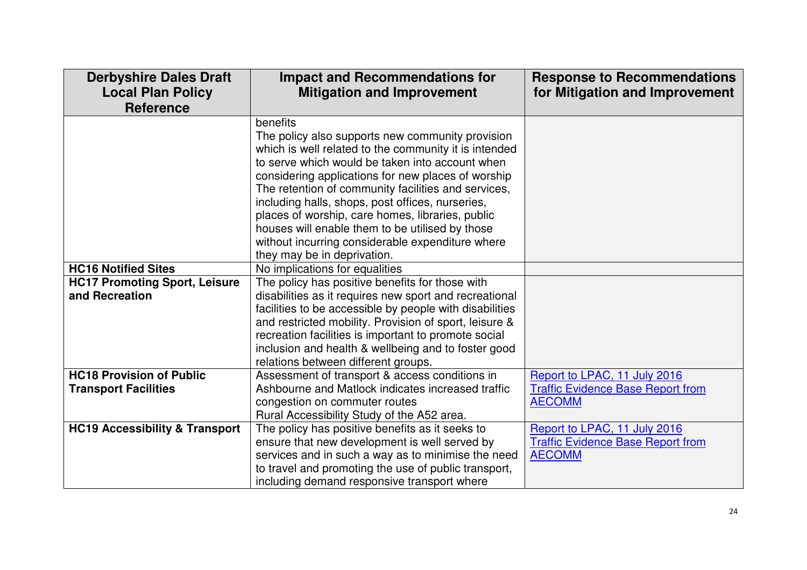| <b>Derbyshire Dales Draft</b><br><b>Local Plan Policy</b><br><b>Reference</b> | <b>Impact and Recommendations for</b><br><b>Mitigation and Improvement</b>                                                                                                                                        | <b>Response to Recommendations</b><br>for Mitigation and Improvement |
|-------------------------------------------------------------------------------|-------------------------------------------------------------------------------------------------------------------------------------------------------------------------------------------------------------------|----------------------------------------------------------------------|
|                                                                               | benefits<br>The policy also supports new community provision<br>which is well related to the community it is intended<br>to serve which would be taken into account when                                          |                                                                      |
|                                                                               | considering applications for new places of worship<br>The retention of community facilities and services,<br>including halls, shops, post offices, nurseries,<br>places of worship, care homes, libraries, public |                                                                      |
|                                                                               | houses will enable them to be utilised by those<br>without incurring considerable expenditure where<br>they may be in deprivation.                                                                                |                                                                      |
| <b>HC16 Notified Sites</b>                                                    | No implications for equalities                                                                                                                                                                                    |                                                                      |
| <b>HC17 Promoting Sport, Leisure</b>                                          | The policy has positive benefits for those with                                                                                                                                                                   |                                                                      |
| and Recreation                                                                | disabilities as it requires new sport and recreational                                                                                                                                                            |                                                                      |
|                                                                               | facilities to be accessible by people with disabilities<br>and restricted mobility. Provision of sport, leisure &                                                                                                 |                                                                      |
|                                                                               | recreation facilities is important to promote social                                                                                                                                                              |                                                                      |
|                                                                               | inclusion and health & wellbeing and to foster good<br>relations between different groups.                                                                                                                        |                                                                      |
| <b>HC18 Provision of Public</b>                                               | Assessment of transport & access conditions in                                                                                                                                                                    | Report to LPAC, 11 July 2016                                         |
| <b>Transport Facilities</b>                                                   | Ashbourne and Matlock indicates increased traffic                                                                                                                                                                 | <b>Traffic Evidence Base Report from</b>                             |
|                                                                               | congestion on commuter routes                                                                                                                                                                                     | <b>AECOMM</b>                                                        |
|                                                                               | Rural Accessibility Study of the A52 area.                                                                                                                                                                        |                                                                      |
| <b>HC19 Accessibility &amp; Transport</b>                                     | The policy has positive benefits as it seeks to                                                                                                                                                                   | Report to LPAC, 11 July 2016                                         |
|                                                                               | ensure that new development is well served by                                                                                                                                                                     | <b>Traffic Evidence Base Report from</b>                             |
|                                                                               | services and in such a way as to minimise the need                                                                                                                                                                | <b>AECOMM</b>                                                        |
|                                                                               | to travel and promoting the use of public transport,                                                                                                                                                              |                                                                      |
|                                                                               | including demand responsive transport where                                                                                                                                                                       |                                                                      |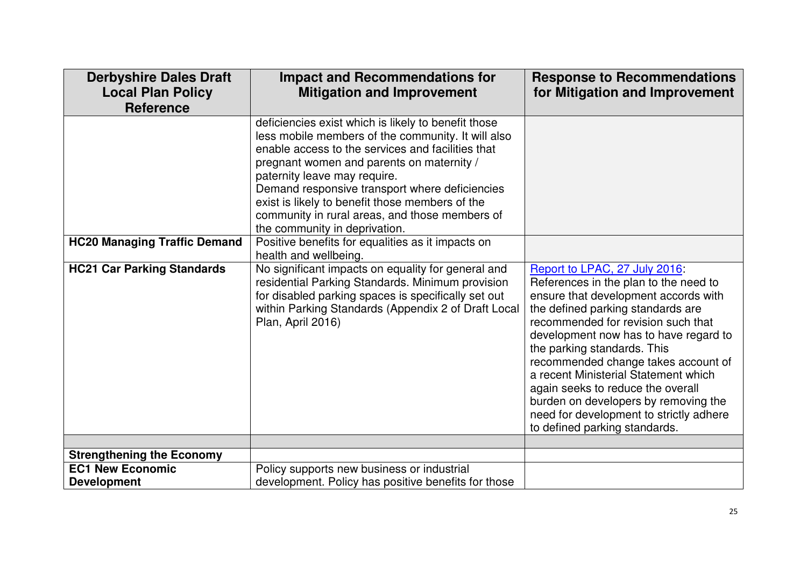| <b>Derbyshire Dales Draft</b><br><b>Local Plan Policy</b><br><b>Reference</b> | <b>Impact and Recommendations for</b><br><b>Mitigation and Improvement</b>                                                                                                                                                                                                                                                                                                                                                          | <b>Response to Recommendations</b><br>for Mitigation and Improvement                                                                                                                                                                                                                                                                                                                                                                                                                                      |
|-------------------------------------------------------------------------------|-------------------------------------------------------------------------------------------------------------------------------------------------------------------------------------------------------------------------------------------------------------------------------------------------------------------------------------------------------------------------------------------------------------------------------------|-----------------------------------------------------------------------------------------------------------------------------------------------------------------------------------------------------------------------------------------------------------------------------------------------------------------------------------------------------------------------------------------------------------------------------------------------------------------------------------------------------------|
|                                                                               | deficiencies exist which is likely to benefit those<br>less mobile members of the community. It will also<br>enable access to the services and facilities that<br>pregnant women and parents on maternity /<br>paternity leave may require.<br>Demand responsive transport where deficiencies<br>exist is likely to benefit those members of the<br>community in rural areas, and those members of<br>the community in deprivation. |                                                                                                                                                                                                                                                                                                                                                                                                                                                                                                           |
| <b>HC20 Managing Traffic Demand</b>                                           | Positive benefits for equalities as it impacts on<br>health and wellbeing.                                                                                                                                                                                                                                                                                                                                                          |                                                                                                                                                                                                                                                                                                                                                                                                                                                                                                           |
| <b>HC21 Car Parking Standards</b>                                             | No significant impacts on equality for general and<br>residential Parking Standards. Minimum provision<br>for disabled parking spaces is specifically set out<br>within Parking Standards (Appendix 2 of Draft Local<br>Plan, April 2016)                                                                                                                                                                                           | Report to LPAC, 27 July 2016:<br>References in the plan to the need to<br>ensure that development accords with<br>the defined parking standards are<br>recommended for revision such that<br>development now has to have regard to<br>the parking standards. This<br>recommended change takes account of<br>a recent Ministerial Statement which<br>again seeks to reduce the overall<br>burden on developers by removing the<br>need for development to strictly adhere<br>to defined parking standards. |
|                                                                               |                                                                                                                                                                                                                                                                                                                                                                                                                                     |                                                                                                                                                                                                                                                                                                                                                                                                                                                                                                           |
| <b>Strengthening the Economy</b>                                              |                                                                                                                                                                                                                                                                                                                                                                                                                                     |                                                                                                                                                                                                                                                                                                                                                                                                                                                                                                           |
| <b>EC1 New Economic</b>                                                       | Policy supports new business or industrial                                                                                                                                                                                                                                                                                                                                                                                          |                                                                                                                                                                                                                                                                                                                                                                                                                                                                                                           |
| <b>Development</b>                                                            | development. Policy has positive benefits for those                                                                                                                                                                                                                                                                                                                                                                                 |                                                                                                                                                                                                                                                                                                                                                                                                                                                                                                           |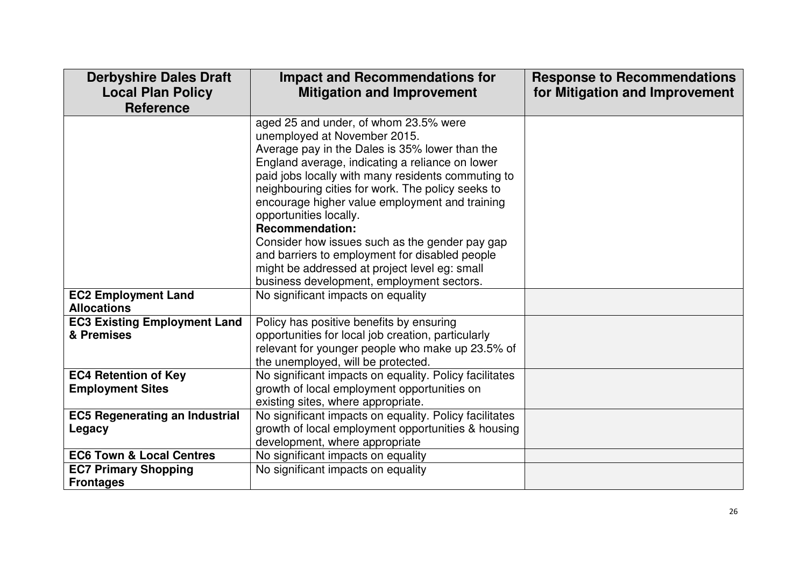| <b>Derbyshire Dales Draft</b><br><b>Local Plan Policy</b><br><b>Reference</b> | <b>Impact and Recommendations for</b><br><b>Mitigation and Improvement</b>                                                                                                                                                                                                                                                                                                                                                                                                                                                                       | <b>Response to Recommendations</b><br>for Mitigation and Improvement |
|-------------------------------------------------------------------------------|--------------------------------------------------------------------------------------------------------------------------------------------------------------------------------------------------------------------------------------------------------------------------------------------------------------------------------------------------------------------------------------------------------------------------------------------------------------------------------------------------------------------------------------------------|----------------------------------------------------------------------|
|                                                                               | aged 25 and under, of whom 23.5% were<br>unemployed at November 2015.<br>Average pay in the Dales is 35% lower than the<br>England average, indicating a reliance on lower<br>paid jobs locally with many residents commuting to<br>neighbouring cities for work. The policy seeks to<br>encourage higher value employment and training<br>opportunities locally.<br><b>Recommendation:</b><br>Consider how issues such as the gender pay gap<br>and barriers to employment for disabled people<br>might be addressed at project level eg: small |                                                                      |
| <b>EC2 Employment Land</b>                                                    | business development, employment sectors.<br>No significant impacts on equality                                                                                                                                                                                                                                                                                                                                                                                                                                                                  |                                                                      |
| <b>Allocations</b>                                                            |                                                                                                                                                                                                                                                                                                                                                                                                                                                                                                                                                  |                                                                      |
| <b>EC3 Existing Employment Land</b><br>& Premises                             | Policy has positive benefits by ensuring<br>opportunities for local job creation, particularly<br>relevant for younger people who make up 23.5% of<br>the unemployed, will be protected.                                                                                                                                                                                                                                                                                                                                                         |                                                                      |
| <b>EC4 Retention of Key</b><br><b>Employment Sites</b>                        | No significant impacts on equality. Policy facilitates<br>growth of local employment opportunities on<br>existing sites, where appropriate.                                                                                                                                                                                                                                                                                                                                                                                                      |                                                                      |
| <b>EC5 Regenerating an Industrial</b><br>Legacy                               | No significant impacts on equality. Policy facilitates<br>growth of local employment opportunities & housing<br>development, where appropriate                                                                                                                                                                                                                                                                                                                                                                                                   |                                                                      |
| <b>EC6 Town &amp; Local Centres</b>                                           | No significant impacts on equality                                                                                                                                                                                                                                                                                                                                                                                                                                                                                                               |                                                                      |
| <b>EC7 Primary Shopping</b><br><b>Frontages</b>                               | No significant impacts on equality                                                                                                                                                                                                                                                                                                                                                                                                                                                                                                               |                                                                      |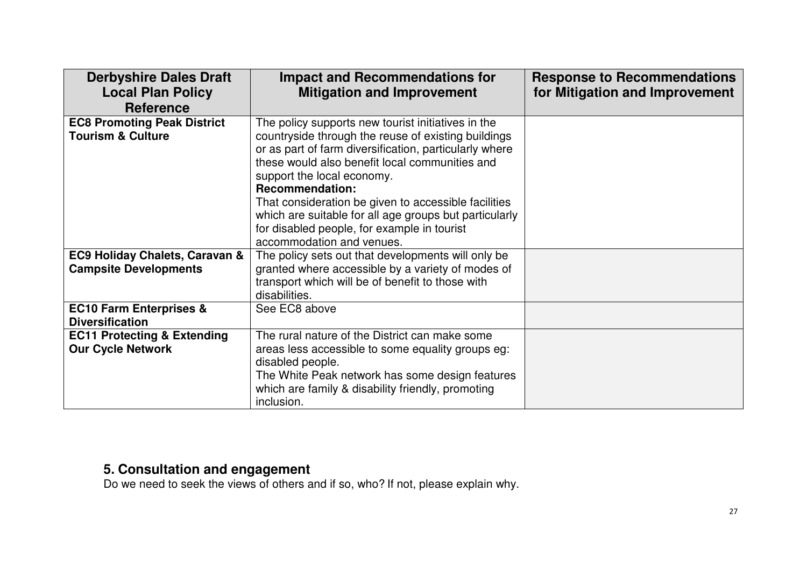| <b>Derbyshire Dales Draft</b><br><b>Local Plan Policy</b><br><b>Reference</b> | <b>Impact and Recommendations for</b><br><b>Mitigation and Improvement</b>                                    | <b>Response to Recommendations</b><br>for Mitigation and Improvement |
|-------------------------------------------------------------------------------|---------------------------------------------------------------------------------------------------------------|----------------------------------------------------------------------|
| <b>EC8 Promoting Peak District</b>                                            | The policy supports new tourist initiatives in the                                                            |                                                                      |
| <b>Tourism &amp; Culture</b>                                                  | countryside through the reuse of existing buildings<br>or as part of farm diversification, particularly where |                                                                      |
|                                                                               | these would also benefit local communities and                                                                |                                                                      |
|                                                                               | support the local economy.                                                                                    |                                                                      |
|                                                                               | <b>Recommendation:</b>                                                                                        |                                                                      |
|                                                                               | That consideration be given to accessible facilities                                                          |                                                                      |
|                                                                               | which are suitable for all age groups but particularly<br>for disabled people, for example in tourist         |                                                                      |
|                                                                               | accommodation and venues.                                                                                     |                                                                      |
| <b>EC9 Holiday Chalets, Caravan &amp;</b>                                     | The policy sets out that developments will only be                                                            |                                                                      |
| <b>Campsite Developments</b>                                                  | granted where accessible by a variety of modes of                                                             |                                                                      |
|                                                                               | transport which will be of benefit to those with                                                              |                                                                      |
|                                                                               | disabilities.                                                                                                 |                                                                      |
| <b>EC10 Farm Enterprises &amp;</b><br><b>Diversification</b>                  | See EC8 above                                                                                                 |                                                                      |
| <b>EC11 Protecting &amp; Extending</b>                                        | The rural nature of the District can make some                                                                |                                                                      |
| <b>Our Cycle Network</b>                                                      | areas less accessible to some equality groups eg:                                                             |                                                                      |
|                                                                               | disabled people.                                                                                              |                                                                      |
|                                                                               | The White Peak network has some design features                                                               |                                                                      |
|                                                                               | which are family & disability friendly, promoting                                                             |                                                                      |
|                                                                               | inclusion.                                                                                                    |                                                                      |

#### **5. Consultation and engagement**

Do we need to seek the views of others and if so, who? If not, please explain why.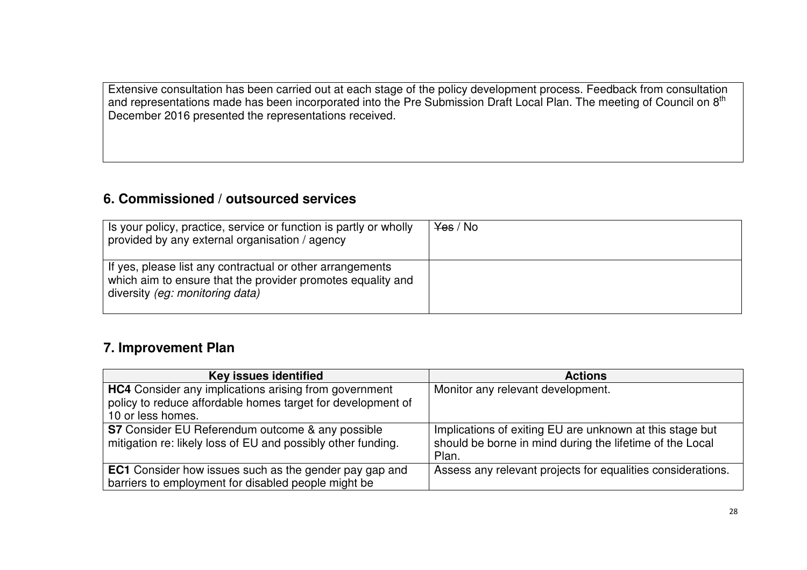Extensive consultation has been carried out at each stage of the policy development process. Feedback from consultation and representations made has been incorporated into the Pre Submission Draft Local Plan. The meeting of Council on 8<sup>th</sup> December 2016 presented the representations received.

#### **6. Commissioned / outsourced services**

| Is your policy, practice, service or function is partly or wholly<br>provided by any external organisation / agency                                         | <del>Yes</del> / No |
|-------------------------------------------------------------------------------------------------------------------------------------------------------------|---------------------|
| If yes, please list any contractual or other arrangements<br>which aim to ensure that the provider promotes equality and<br>diversity (eg: monitoring data) |                     |

#### **7. Improvement Plan**

| Key issues identified                                                                                                                            | <b>Actions</b>                                                                                                                |
|--------------------------------------------------------------------------------------------------------------------------------------------------|-------------------------------------------------------------------------------------------------------------------------------|
| <b>HC4</b> Consider any implications arising from government<br>policy to reduce affordable homes target for development of<br>10 or less homes. | Monitor any relevant development.                                                                                             |
| S7 Consider EU Referendum outcome & any possible<br>mitigation re: likely loss of EU and possibly other funding.                                 | Implications of exiting EU are unknown at this stage but<br>should be borne in mind during the lifetime of the Local<br>Plan. |
| <b>EC1</b> Consider how issues such as the gender pay gap and<br>barriers to employment for disabled people might be                             | Assess any relevant projects for equalities considerations.                                                                   |